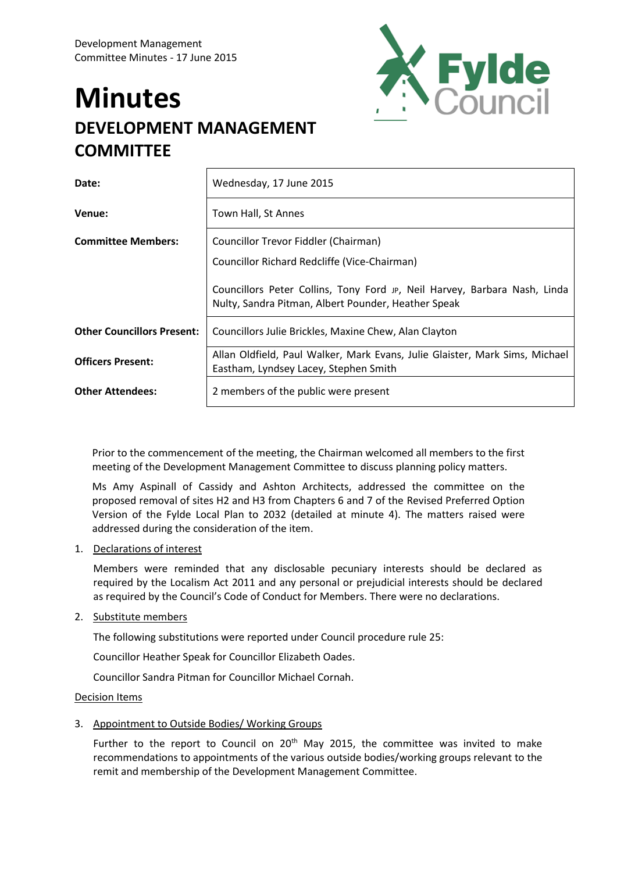# **Minutes DEVELOPMENT MANAGEMENT COMMITTEE**



| Date:                             | Wednesday, 17 June 2015                                                                                                          |
|-----------------------------------|----------------------------------------------------------------------------------------------------------------------------------|
| Venue:                            | Town Hall, St Annes                                                                                                              |
| <b>Committee Members:</b>         | Councillor Trevor Fiddler (Chairman)                                                                                             |
|                                   | Councillor Richard Redcliffe (Vice-Chairman)                                                                                     |
|                                   | Councillors Peter Collins, Tony Ford JP, Neil Harvey, Barbara Nash, Linda<br>Nulty, Sandra Pitman, Albert Pounder, Heather Speak |
| <b>Other Councillors Present:</b> | Councillors Julie Brickles, Maxine Chew, Alan Clayton                                                                            |
| <b>Officers Present:</b>          | Allan Oldfield, Paul Walker, Mark Evans, Julie Glaister, Mark Sims, Michael<br>Eastham, Lyndsey Lacey, Stephen Smith             |
| <b>Other Attendees:</b>           | 2 members of the public were present                                                                                             |

Prior to the commencement of the meeting, the Chairman welcomed all members to the first meeting of the Development Management Committee to discuss planning policy matters.

Ms Amy Aspinall of Cassidy and Ashton Architects, addressed the committee on the proposed removal of sites H2 and H3 from Chapters 6 and 7 of the Revised Preferred Option Version of the Fylde Local Plan to 2032 (detailed at minute 4). The matters raised were addressed during the consideration of the item.

# 1. Declarations of interest

Members were reminded that any disclosable pecuniary interests should be declared as required by the Localism Act 2011 and any personal or prejudicial interests should be declared as required by the Council's Code of Conduct for Members. There were no declarations.

# 2. Substitute members

The following substitutions were reported under Council procedure rule 25:

Councillor Heather Speak for Councillor Elizabeth Oades.

Councillor Sandra Pitman for Councillor Michael Cornah.

# Decision Items

3. Appointment to Outside Bodies/ Working Groups

Further to the report to Council on  $20<sup>th</sup>$  May 2015, the committee was invited to make recommendations to appointments of the various outside bodies/working groups relevant to the remit and membership of the Development Management Committee.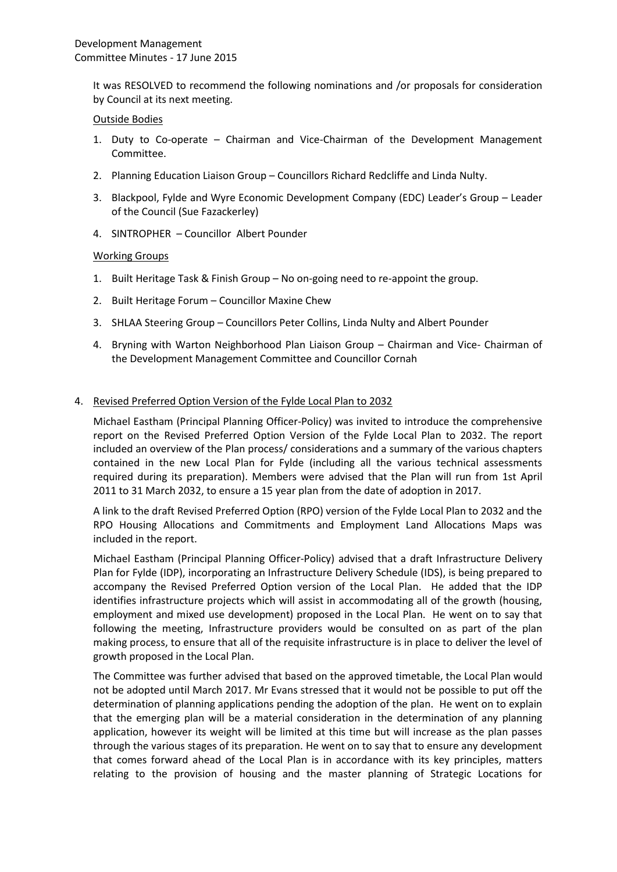It was RESOLVED to recommend the following nominations and /or proposals for consideration by Council at its next meeting.

#### Outside Bodies

- 1. Duty to Co-operate Chairman and Vice-Chairman of the Development Management Committee.
- 2. Planning Education Liaison Group Councillors Richard Redcliffe and Linda Nulty.
- 3. Blackpool, Fylde and Wyre Economic Development Company (EDC) Leader's Group Leader of the Council (Sue Fazackerley)
- 4. SINTROPHER Councillor Albert Pounder

#### Working Groups

- 1. Built Heritage Task & Finish Group No on-going need to re-appoint the group.
- 2. Built Heritage Forum Councillor Maxine Chew
- 3. SHLAA Steering Group Councillors Peter Collins, Linda Nulty and Albert Pounder
- 4. Bryning with Warton Neighborhood Plan Liaison Group Chairman and Vice- Chairman of the Development Management Committee and Councillor Cornah

#### 4. Revised Preferred Option Version of the Fylde Local Plan to 2032

Michael Eastham (Principal Planning Officer-Policy) was invited to introduce the comprehensive report on the Revised Preferred Option Version of the Fylde Local Plan to 2032. The report included an overview of the Plan process/ considerations and a summary of the various chapters contained in the new Local Plan for Fylde (including all the various technical assessments required during its preparation). Members were advised that the Plan will run from 1st April 2011 to 31 March 2032, to ensure a 15 year plan from the date of adoption in 2017.

A link to the draft Revised Preferred Option (RPO) version of the Fylde Local Plan to 2032 and the RPO Housing Allocations and Commitments and Employment Land Allocations Maps was included in the report.

Michael Eastham (Principal Planning Officer-Policy) advised that a draft Infrastructure Delivery Plan for Fylde (IDP), incorporating an Infrastructure Delivery Schedule (IDS), is being prepared to accompany the Revised Preferred Option version of the Local Plan. He added that the IDP identifies infrastructure projects which will assist in accommodating all of the growth (housing, employment and mixed use development) proposed in the Local Plan. He went on to say that following the meeting, Infrastructure providers would be consulted on as part of the plan making process, to ensure that all of the requisite infrastructure is in place to deliver the level of growth proposed in the Local Plan.

The Committee was further advised that based on the approved timetable, the Local Plan would not be adopted until March 2017. Mr Evans stressed that it would not be possible to put off the determination of planning applications pending the adoption of the plan. He went on to explain that the emerging plan will be a material consideration in the determination of any planning application, however its weight will be limited at this time but will increase as the plan passes through the various stages of its preparation. He went on to say that to ensure any development that comes forward ahead of the Local Plan is in accordance with its key principles, matters relating to the provision of housing and the master planning of Strategic Locations for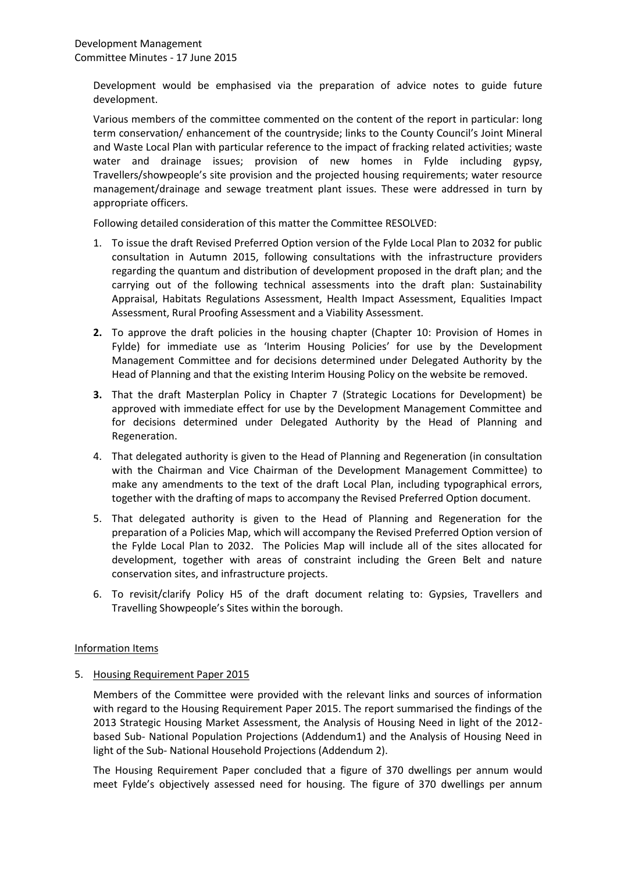Development would be emphasised via the preparation of advice notes to guide future development.

Various members of the committee commented on the content of the report in particular: long term conservation/ enhancement of the countryside; links to the County Council's Joint Mineral and Waste Local Plan with particular reference to the impact of fracking related activities; waste water and drainage issues; provision of new homes in Fylde including gypsy, Travellers/showpeople's site provision and the projected housing requirements; water resource management/drainage and sewage treatment plant issues. These were addressed in turn by appropriate officers.

Following detailed consideration of this matter the Committee RESOLVED:

- 1. To issue the draft Revised Preferred Option version of the Fylde Local Plan to 2032 for public consultation in Autumn 2015, following consultations with the infrastructure providers regarding the quantum and distribution of development proposed in the draft plan; and the carrying out of the following technical assessments into the draft plan: Sustainability Appraisal, Habitats Regulations Assessment, Health Impact Assessment, Equalities Impact Assessment, Rural Proofing Assessment and a Viability Assessment.
- **2.** To approve the draft policies in the housing chapter (Chapter 10: Provision of Homes in Fylde) for immediate use as 'Interim Housing Policies' for use by the Development Management Committee and for decisions determined under Delegated Authority by the Head of Planning and that the existing Interim Housing Policy on the website be removed.
- **3.** That the draft Masterplan Policy in Chapter 7 (Strategic Locations for Development) be approved with immediate effect for use by the Development Management Committee and for decisions determined under Delegated Authority by the Head of Planning and Regeneration.
- 4. That delegated authority is given to the Head of Planning and Regeneration (in consultation with the Chairman and Vice Chairman of the Development Management Committee) to make any amendments to the text of the draft Local Plan, including typographical errors, together with the drafting of maps to accompany the Revised Preferred Option document.
- 5. That delegated authority is given to the Head of Planning and Regeneration for the preparation of a Policies Map, which will accompany the Revised Preferred Option version of the Fylde Local Plan to 2032. The Policies Map will include all of the sites allocated for development, together with areas of constraint including the Green Belt and nature conservation sites, and infrastructure projects.
- 6. To revisit/clarify Policy H5 of the draft document relating to: Gypsies, Travellers and Travelling Showpeople's Sites within the borough.

# Information Items

5. Housing Requirement Paper 2015

Members of the Committee were provided with the relevant links and sources of information with regard to the Housing Requirement Paper 2015. The report summarised the findings of the 2013 Strategic Housing Market Assessment, the Analysis of Housing Need in light of the 2012 based Sub- National Population Projections (Addendum1) and the Analysis of Housing Need in light of the Sub- National Household Projections (Addendum 2).

The Housing Requirement Paper concluded that a figure of 370 dwellings per annum would meet Fylde's objectively assessed need for housing. The figure of 370 dwellings per annum